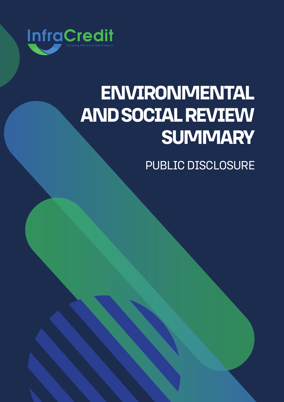

# **ENVIRONMENTAL AND SOCIAL REVIEW SUMMARY**

PUBLIC DISCLOSURE

**ENVIRONMENTAL AND SOCIAL REVIEW SUMMARY:**

LAGOS FREE ZONE COMPANY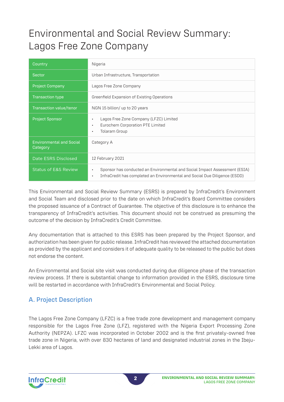## Environmental and Social Review Summary: Lagos Free Zone Company

| Country                                     | Nigeria                                                                                                                                                               |
|---------------------------------------------|-----------------------------------------------------------------------------------------------------------------------------------------------------------------------|
| Sector                                      | Urban Infrastructure, Transportation                                                                                                                                  |
| <b>Project Company</b>                      | Lagos Free Zone Company                                                                                                                                               |
| <b>Transaction type</b>                     | Greenfield Expansion of Existing Operations                                                                                                                           |
| Transaction value/tenor                     | NGN 15 billion/ up to 20 years                                                                                                                                        |
| <b>Project Sponsor</b>                      | Lagos Free Zone Company (LFZC) Limited<br>$\bullet$<br>Eurochem Corporation PTE Limited<br>$\bullet$<br><b>Tolaram Group</b><br>$\bullet$                             |
| <b>Environmental and Social</b><br>Category | Category A                                                                                                                                                            |
| Date ESRS Disclosed                         | 12 February 2021                                                                                                                                                      |
| <b>Status of E&amp;S Review</b>             | Sponsor has conducted an Environmental and Social Impact Assessment (ESIA)<br>InfraCredit has completed an Environmental and Social Due Diligence (ESDD)<br>$\bullet$ |

This Environmental and Social Review Summary (ESRS) is prepared by InfraCredit's Environment and Social Team and disclosed prior to the date on which InfraCredit's Board Committee considers the proposed issuance of a Contract of Guarantee. The objective of this disclosure is to enhance the transparency of InfraCredit's activities. This document should not be construed as presuming the outcome of the decision by InfraCredit's Credit Committee.

Any documentation that is attached to this ESRS has been prepared by the Project Sponsor, and authorization has been given for public release. InfraCredit has reviewed the attached documentation as provided by the applicant and considers it of adequate quality to be released to the public but does not endorse the content.

An Environmental and Social site visit was conducted during due diligence phase of the transaction review process. If there is substantial change to information provided in the ESRS, disclosure time will be restarted in accordance with InfraCredit's Environmental and Social Policy.

## A. Project Description

The Lagos Free Zone Company (LFZC) is a free trade zone development and management company responsible for the Lagos Free Zone (LFZ), registered with the Nigeria Export Processing Zone Authority (NEPZA). LFZC was incorporated in October 2002 and is the first privately-owned free trade zone in Nigeria, with over 830 hectares of land and designated industrial zones in the Ibeju-Lekki area of Lagos.

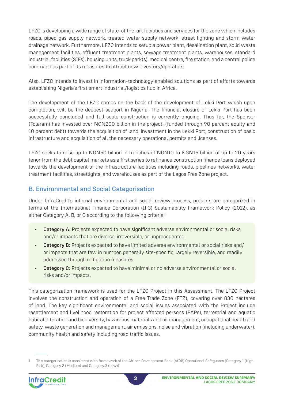LFZC is developing a wide range of state-of the-art facilities and services for the zone which includes roads, piped gas supply network, treated water supply network, street lighting and storm water drainage network. Furthermore, LFZC intends to setup a power plant, desalination plant, solid waste management facilities, effluent treatment plants, sewage treatment plants, warehouses, standard industrial facilities (SIFs), housing units, truck park(s), medical centre, fire station, and a central police command as part of its measures to attract new investors/operators.

Also, LFZC intends to invest in information-technology enabled solutions as part of efforts towards establishing Nigeria's first smart industrial/logistics hub in Africa.

The development of the LFZC comes on the back of the development of Lekki Port which upon completion, will be the deepest seaport in Nigeria. The financial closure of Lekki Port has been successfully concluded and full-scale construction is currently ongoing. Thus far, the Sponsor (Tolaram) has invested over NGN200 billion in the project, (funded through 90 percent equity and 10 percent debt) towards the acquisition of land, investment in the Lekki Port, construction of basic infrastructure and acquisition of all the necessary operational permits and licenses.

LFZC seeks to raise up to NGN50 billion in tranches of NGN10 to NGN15 billion of up to 20 years tenor from the debt capital markets as a first series to refinance construction finance loans deployed towards the development of the infrastructure facilities including roads, pipelines networks, water treatment facilities, streetlights, and warehouses as part of the Lagos Free Zone project.

## B. Environmental and Social Categorisation

Under InfraCredit's internal environmental and social review process, projects are categorized in terms of the International Finance Corporation (IFC) Sustainability Framework Policy (2012), as either Category A, B, or C according to the following criteria<sup>1:</sup>

- Category A: Projects expected to have significant adverse environmental or social risks and/or impacts that are diverse, irreversible, or unprecedented.
- Category B: Projects expected to have limited adverse environmental or social risks and/ or impacts that are few in number, generally site-specific, largely reversible, and readily addressed through mitigation measures.
- **Category C:** Projects expected to have minimal or no adverse environmental or social risks and/or impacts.

This categorization framework is used for the LFZC Project in this Assessment. The LFZC Project involves the construction and operation of a Free Trade Zone (FTZ), covering over 830 hectares of land. The key significant environmental and social issues associated with the Project include resettlement and livelihood restoration for project affected persons (PAPs), terrestrial and aquatic habitat alteration and biodiversity, hazardous materials and oil management, occupational health and safety, waste generation and management, air emissions, noise and vibration (including underwater), community health and safety including road traffic issues.

<sup>1</sup> This categorisation is consistent with framework of the African Development Bank (AfDB) Operational Safeguards (Category 1 (High Risk), Category 2 (Medium) and Category 3 (Low))

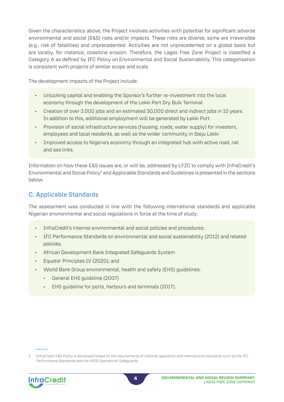Given the characteristics above, the Project involves activities with potential for significant adverse environmental and social (E&S) risks and/or impacts. These risks are diverse, some are irreversible (e.g., risk of fatalities) and unprecedented. Activities are not unprecedented on a global basis but are locally, for instance, coastline erosion. Therefore, the Lagos Free Zone Project is classified a Category A as defined by IFC Policy on Environmental and Social Sustainability. This categorisation is consistent with projects of similar scope and scale.

The development impacts of the Project include:

- Unlocking capital and enabling the Sponsor's further re-investment into the local economy through the development of the Lekki Port Dry Bulk Terminal
- Creation of over 2,000 jobs and an estimated 30,000 direct and indirect jobs in 10 years. In addition to this, additional employment will be generated by Lekki Port.
- Provision of social infrastructure services (housing, roads, water supply) for investors, employees and local residents, as well as the wider community in Ibeju Lekki
- Improved access to Nigeria's economy through an integrated hub with active road, rail and sea links.

Information on how these E&S issues are, or will be, addressed by LFZC to comply with InfraCredit's Environmental and Social Policy<sup>2</sup> and Applicable Standards and Guidelines is presented in the sections below.

## C. Applicable Standards

The assessment was conducted in line with the following international standards and applicable Nigerian environmental and social regulations in force at the time of study:

- InfraCredit's internal environmental and social policies and procedures;
- IFC Performance Standards on environmental and social sustainability (2012) and related policies;
- African Development Bank Integrated Safeguards System
- Equator Principles IV (2020); and
- World Bank Group environmental, health and safety (EHS) guidelines:
	- General EHS guideline (2007)
	- EHS guideline for ports, harbours and terminals (2017).

<sup>2</sup> InfraCredit E&S Policy is developed based on the requirements of national legislation and international standards such as the IFC Performance Standards and the AfDB Operational Safeguards.

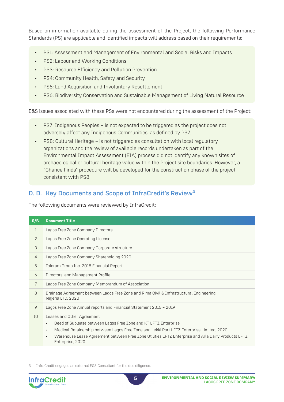Based on information available during the assessment of the Project, the following Performance Standards (PS) are applicable and identified impacts will address based on their requirements:

- PS1: Assessment and Management of Environmental and Social Risks and Impacts
- PS2: Labour and Working Conditions
- PS3: Resource Efficiency and Pollution Prevention
- PS4: Community Health, Safety and Security
- PS5: Land Acquisition and Involuntary Resettlement
- PS6: Biodiversity Conservation and Sustainable Management of Living Natural Resource

E&S issues associated with these PSs were not encountered during the assessment of the Project:

- PS7: Indigenous Peoples is not expected to be triggered as the project does not adversely affect any Indigenous Communities, as defined by PS7.
- PS8: Cultural Heritage is not triggered as consultation with local regulatory organizations and the review of available records undertaken as part of the Environmental Impact Assessment (EIA) process did not identify any known sites of archaeological or cultural heritage value within the Project site boundaries. However, a "Chance Finds" procedure will be developed for the construction phase of the project, consistent with PS8.

## D. D. Key Documents and Scope of InfraCredit's Review<sup>3</sup>

The following documents were reviewed by InfraCredit:

| S/N            | <b>Document Title</b>                                                                                                                                                                                                                                                                                                                                       |
|----------------|-------------------------------------------------------------------------------------------------------------------------------------------------------------------------------------------------------------------------------------------------------------------------------------------------------------------------------------------------------------|
| 1              | Lagos Free Zone Company Directors                                                                                                                                                                                                                                                                                                                           |
| 2              | Lagos Free Zone Operating License                                                                                                                                                                                                                                                                                                                           |
| 3              | Lagos Free Zone Company Corporate structure                                                                                                                                                                                                                                                                                                                 |
| $\overline{4}$ | Lagos Free Zone Company Shareholding 2020                                                                                                                                                                                                                                                                                                                   |
| 5              | Tolaram Group Inc. 2018 Financial Report                                                                                                                                                                                                                                                                                                                    |
| 6              | Directors' and Management Profile                                                                                                                                                                                                                                                                                                                           |
| $\overline{7}$ | Lagos Free Zone Company Memorandum of Association                                                                                                                                                                                                                                                                                                           |
| 8              | Drainage Agreement between Lagos Free Zone and Rima Civil & Infrastructural Engineering<br>Nigeria LTD. 2020                                                                                                                                                                                                                                                |
| 9              | Lagos Free Zone Annual reports and Financial Statement 2015 - 2019                                                                                                                                                                                                                                                                                          |
| 10             | Leases and Other Agreement<br>Deed of Sublease between Lagos Free Zone and KT LFTZ Enterprise<br>$\bullet$<br>Medical Retainership between Lagos Free Zone and Lekki Port LFTZ Enterprise Limited, 2020<br>$\bullet$<br>Warehouse Lease Agreement between Free Zone Utilities LFTZ Enterprise and Arla Dairy Products LFTZ<br>$\bullet$<br>Enterprise, 2020 |

<sup>3</sup> InfraCredit engaged an external E&S Consultant for the due diligence.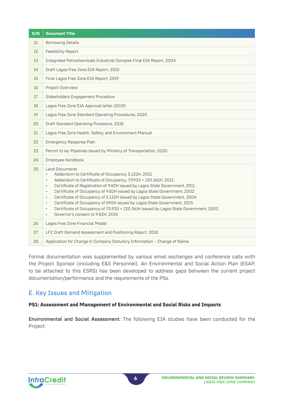| S/N | <b>Document Title</b>                                                                                                                                                                                                                                                                                                                                                                                                                                                                                                                                                                                                                                                                                |
|-----|------------------------------------------------------------------------------------------------------------------------------------------------------------------------------------------------------------------------------------------------------------------------------------------------------------------------------------------------------------------------------------------------------------------------------------------------------------------------------------------------------------------------------------------------------------------------------------------------------------------------------------------------------------------------------------------------------|
| 11  | <b>Borrowing Details</b>                                                                                                                                                                                                                                                                                                                                                                                                                                                                                                                                                                                                                                                                             |
| 12  | Feasibility Report                                                                                                                                                                                                                                                                                                                                                                                                                                                                                                                                                                                                                                                                                   |
| 13  | Integrated Petrochemicals Industrial Complex Final EIA Report, 2004                                                                                                                                                                                                                                                                                                                                                                                                                                                                                                                                                                                                                                  |
| 14  | Draft Lagos Free Zone EIA Report, 2015                                                                                                                                                                                                                                                                                                                                                                                                                                                                                                                                                                                                                                                               |
| 15  | Final Lagos Free Zone EIA Report, 2019                                                                                                                                                                                                                                                                                                                                                                                                                                                                                                                                                                                                                                                               |
| 16  | Project Overview                                                                                                                                                                                                                                                                                                                                                                                                                                                                                                                                                                                                                                                                                     |
| 17  | Stakeholders Engagement Procedure                                                                                                                                                                                                                                                                                                                                                                                                                                                                                                                                                                                                                                                                    |
| 18  | Lagos Free Zone EIA Approval letter (2019)                                                                                                                                                                                                                                                                                                                                                                                                                                                                                                                                                                                                                                                           |
| 19  | Lagos Free Zone Standard Operating Procedures, 2020                                                                                                                                                                                                                                                                                                                                                                                                                                                                                                                                                                                                                                                  |
| 20  | Draft Standard Operating Procedure, 2018                                                                                                                                                                                                                                                                                                                                                                                                                                                                                                                                                                                                                                                             |
| 21  | Lagos Free Zone Health, Safety, and Environment Manual                                                                                                                                                                                                                                                                                                                                                                                                                                                                                                                                                                                                                                               |
| 22  | Emergency Response Plan                                                                                                                                                                                                                                                                                                                                                                                                                                                                                                                                                                                                                                                                              |
| 23  | Permit to lay Pipelines issued by Ministry of Transportation, 2020                                                                                                                                                                                                                                                                                                                                                                                                                                                                                                                                                                                                                                   |
| 24  | Employee Handbook                                                                                                                                                                                                                                                                                                                                                                                                                                                                                                                                                                                                                                                                                    |
| 25  | <b>Land Documents</b><br>Addendum to Certificate of Occupancy, 5.122H, 2012<br>$\bullet$<br>Addendum to Certificate of Occupancy, 79.933 + 120.361H, 2012<br>$\bullet$<br>Certificate of Registration of 9.82H issued by Lagos State Government, 2011<br>$\bullet$<br>Certificate of Occupancy of 9.82H issued by Lagos State Government, 2002<br>$\bullet$<br>Certificate of Occupancy of 5.122H issued by Lagos State Government, 2004<br>$\bullet$<br>Certificate of Occupancy of 590H issued by Lagos State Government, 2015<br>$\bullet$<br>Certificate of Occupancy of 70.933 + 120.361H issued by Lagos State Government, 2002<br>$\bullet$<br>Governor's consent to 9.82H, 2010<br>$\bullet$ |
| 26  | Lagos Free Zone Financial Model                                                                                                                                                                                                                                                                                                                                                                                                                                                                                                                                                                                                                                                                      |
| 27  | LFZ Draft Demand Assessment and Positioning Report, 2018                                                                                                                                                                                                                                                                                                                                                                                                                                                                                                                                                                                                                                             |
| 28  | Application for Change in Company Statutory Information - Change of Name                                                                                                                                                                                                                                                                                                                                                                                                                                                                                                                                                                                                                             |

Formal documentation was supplemented by various email exchanges and conference calls with the Project Sponsor (including E&S Personnel). An Environmental and Social Action Plan (ESAP, to be attached to this ESRS) has been developed to address gaps between the current project documentation/performance and the requirements of the PSs.

## E. Key Issues and Mitigation

#### **PS1: Assessment and Management of Environmental and Social Risks and Impacts**

Environmental and Social Assessment: The following EIA studies have been conducted for the Project:

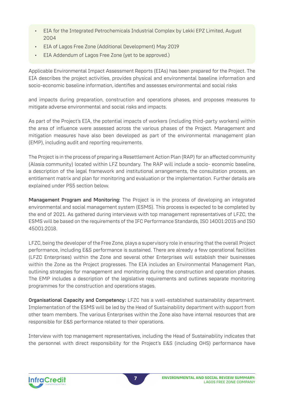- EIA for the Integrated Petrochemicals Industrial Complex by Lekki EPZ Limited, August 2004
- EIA of Lagos Free Zone (Additional Development) May 2019
- EIA Addendum of Lagos Free Zone (yet to be approved.)

Applicable Environmental Impact Assessment Reports (EIAs) has been prepared for the Project. The EIA describes the project activities, provides physical and environmental baseline information and socio-economic baseline information, identifies and assesses environmental and social risks

and impacts during preparation, construction and operations phases, and proposes measures to mitigate adverse environmental and social risks and impacts.

As part of the Project's EIA, the potential impacts of workers (including third-party workers) within the area of influence were assessed across the various phases of the Project. Management and mitigation measures have also been developed as part of the environmental management plan (EMP), including audit and reporting requirements.

The Project is in the process of preparing a Resettlement Action Plan (RAP) for an affected community (Alasia community) located within LFZ boundary. The RAP will include a socio- economic baseline, a description of the legal framework and institutional arrangements, the consultation process, an entitlement matrix and plan for monitoring and evaluation or the implementation. Further details are explained under PS5 section below.

Management Program and Monitoring: The Project is in the process of developing an integrated environmental and social management system (ESMS). This process is expected to be completed by the end of 2021. As gathered during interviews with top management representatives of LFZC, the ESMS will be based on the requirements of the IFC Performance Standards, ISO 14001:2015 and ISO 45001:2018.

LFZC, being the developer of the Free Zone, plays a supervisory role in ensuring that the overall Project performance, including E&S performance is sustained. There are already a few operational facilities (LFZC Enterprises) within the Zone and several other Enterprises will establish their businesses within the Zone as the Project progresses. The EIA includes an Environmental Management Plan, outlining strategies for management and monitoring during the construction and operation phases. The EMP includes a description of the legislative requirements and outlines separate monitoring programmes for the construction and operations stages.

Organisational Capacity and Competency: LFZC has a well-established sustainability department. Implementation of the ESMS will be led by the Head of Sustainability department with support from other team members. The various Enterprises within the Zone also have internal resources that are responsible for E&S performance related to their operations.

Interview with top management representatives, including the Head of Sustainability indicates that the personnel with direct responsibility for the Project's E&S (including OHS) performance have

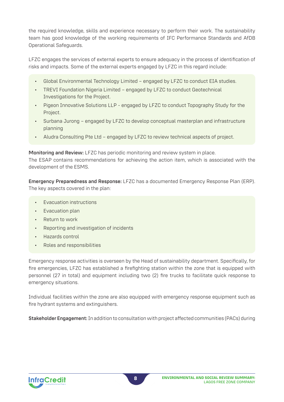the required knowledge, skills and experience necessary to perform their work. The sustainability team has good knowledge of the working requirements of IFC Performance Standards and AfDB Operational Safeguards.

LFZC engages the services of external experts to ensure adequacy in the process of identification of risks and impacts. Some of the external experts engaged by LFZC in this regard include:

- Global Environmental Technology Limited engaged by LFZC to conduct EIA studies.
- TREVI Foundation Nigeria Limited engaged by LFZC to conduct Geotechnical Investigations for the Project.
- Pigeon Innovative Solutions LLP engaged by LFZC to conduct Topography Study for the Project.
- Surbana Jurong engaged by LFZC to develop conceptual masterplan and infrastructure planning
- Aludra Consulting Pte Ltd engaged by LFZC to review technical aspects of project.

Monitoring and Review: LFZC has periodic monitoring and review system in place.

The ESAP contains recommendations for achieving the action item, which is associated with the development of the ESMS.

Emergency Preparedness and Response: LFZC has a documented Emergency Response Plan (ERP). The key aspects covered in the plan:

- Evacuation instructions
- Evacuation plan
- Return to work
- Reporting and investigation of incidents
- Hazards control
- Roles and responsibilities

Emergency response activities is overseen by the Head of sustainability department. Specifically, for fire emergencies, LFZC has established a firefighting station within the zone that is equipped with personnel (27 in total) and equipment including two (2) fire trucks to facilitate quick response to emergency situations.

Individual facilities within the zone are also equipped with emergency response equipment such as fire hydrant systems and extinguishers.

Stakeholder Engagement: In addition to consultation with project affected communities (PACs) during

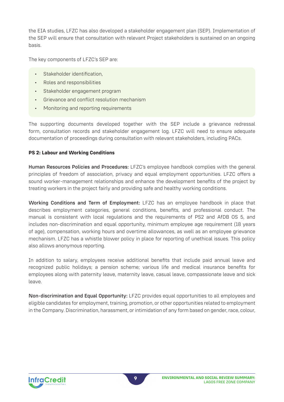the EIA studies, LFZC has also developed a stakeholder engagement plan (SEP). Implementation of the SEP will ensure that consultation with relevant Project stakeholders is sustained on an ongoing basis.

The key components of LFZC's SEP are:

- Stakeholder identification,
- Roles and responsibilities
- Stakeholder engagement program
- Grievance and conflict resolution mechanism
- Monitoring and reporting requirements

The supporting documents developed together with the SEP include a grievance redressal form, consultation records and stakeholder engagement log. LFZC will need to ensure adequate documentation of proceedings during consultation with relevant stakeholders, including PACs.

#### **PS 2: Labour and Working Conditions**

Human Resources Policies and Procedures: LFZC's employee handbook complies with the general principles of freedom of association, privacy and equal employment opportunities. LFZC offers a sound worker-management relationships and enhance the development benefits of the project by treating workers in the project fairly and providing safe and healthy working conditions.

Working Conditions and Term of Employment: LFZC has an employee handbook in place that describes employment categories, general conditions, benefits, and professional conduct. The manual is consistent with local regulations and the requirements of PS2 and AfDB OS 5, and includes non-discrimination and equal opportunity, minimum employee age requirement (18 years of age), compensation, working hours and overtime allowances, as well as an employee grievance mechanism. LFZC has a whistle blower policy in place for reporting of unethical issues. This policy also allows anonymous reporting.

In addition to salary, employees receive additional benefits that include paid annual leave and recognized public holidays; a pension scheme; various life and medical insurance benefits for employees along with paternity leave, maternity leave, casual leave, compassionate leave and sick leave.

Non-discrimination and Equal Opportunity: LFZC provides equal opportunities to all employees and eligible candidates for employment, training, promotion, or other opportunities related to employment in the Company. Discrimination, harassment, or intimidation of any form based on gender, race, colour,

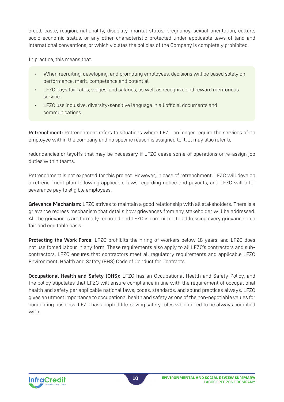creed, caste, religion, nationality, disability, marital status, pregnancy, sexual orientation, culture, socio-economic status, or any other characteristic protected under applicable laws of land and international conventions, or which violates the policies of the Company is completely prohibited.

In practice, this means that:

- When recruiting, developing, and promoting employees, decisions will be based solely on performance, merit, competence and potential
- LFZC pays fair rates, wages, and salaries, as well as recognize and reward meritorious service.
- LFZC use inclusive, diversity-sensitive language in all official documents and communications.

Retrenchment: Retrenchment refers to situations where LFZC no longer require the services of an employee within the company and no specific reason is assigned to it. It may also refer to

redundancies or layoffs that may be necessary if LFZC cease some of operations or re-assign job duties within teams.

Retrenchment is not expected for this project. However, in case of retrenchment, LFZC will develop a retrenchment plan following applicable laws regarding notice and payouts, and LFZC will offer severance pay to eligible employees.

Grievance Mechanism: LFZC strives to maintain a good relationship with all stakeholders. There is a grievance redress mechanism that details how grievances from any stakeholder will be addressed. All the grievances are formally recorded and LFZC is committed to addressing every grievance on a fair and equitable basis.

Protecting the Work Force: LFZC prohibits the hiring of workers below 18 years, and LFZC does not use forced labour in any form. These requirements also apply to all LFZC's contractors and subcontractors. LFZC ensures that contractors meet all regulatory requirements and applicable LFZC Environment, Health and Safety (EHS) Code of Conduct for Contracts.

Occupational Health and Safety (OHS): LFZC has an Occupational Health and Safety Policy, and the policy stipulates that LFZC will ensure compliance in line with the requirement of occupational health and safety per applicable national laws, codes, standards, and sound practices always. LFZC gives an utmost importance to occupational health and safety as one of the non-negotiable values for conducting business. LFZC has adopted life-saving safety rules which need to be always complied with.

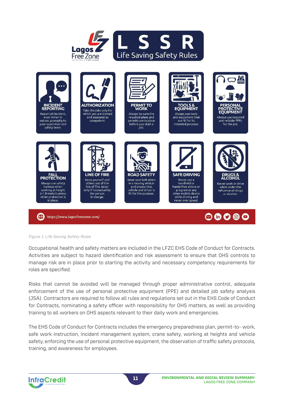



#### *Figure 1: Life Saving Safety Rules*

Occupational health and safety matters are included in the LFZC EHS Code of Conduct for Contracts. Activities are subject to hazard identification and risk assessment to ensure that OHS controls to manage risk are in place prior to starting the activity and necessary competency requirements for roles are specified.

Risks that cannot be avoided will be managed through proper administrative control, adequate enforcement of the use of personal protective equipment (PPE) and detailed job safety analysis (JSA). Contractors are required to follow all rules and regulations set out in the EHS Code of Conduct for Contracts, nominating a safety officer with responsibility for OHS matters, as well as providing training to all workers on OHS aspects relevant to their daily work and emergencies.

The EHS Code of Conduct for Contracts includes the emergency preparedness plan, permit-to- work, safe work instruction, incident management system, crane safety, working at heights and vehicle safety, enforcing the use of personal protective equipment, the observation of traffic safety protocols, training, and awareness for employees.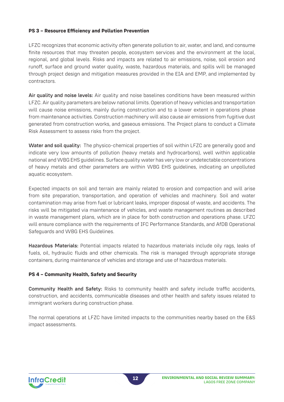#### **PS 3 – Resource Efficiency and Pollution Prevention**

LFZC recognizes that economic activity often generate pollution to air, water, and land, and consume finite resources that may threaten people, ecosystem services and the environment at the local, regional, and global levels. Risks and impacts are related to air emissions, noise, soil erosion and runoff, surface and ground water quality, waste, hazardous materials, and spills will be managed through project design and mitigation measures provided in the EIA and EMP, and implemented by contractors.

Air quality and noise levels: Air quality and noise baselines conditions have been measured within LFZC. Air quality parameters are below national limits. Operation of heavy vehicles and transportation will cause noise emissions, mainly during construction and to a lower extent in operations phase from maintenance activities. Construction machinery will also cause air emissions from fugitive dust generated from construction works, and gaseous emissions. The Project plans to conduct a Climate Risk Assessment to assess risks from the project.

Water and soil quality: The physico-chemical properties of soil within LFZC are generally good and indicate very low amounts of pollution (heavy metals and hydrocarbons), well within applicable national and WBG EHS guidelines. Surface quality water has very low or undetectable concentrations of heavy metals and other parameters are within WBG EHS guidelines, indicating an unpolluted aquatic ecosystem.

Expected impacts on soil and terrain are mainly related to erosion and compaction and will arise from site preparation, transportation, and operation of vehicles and machinery. Soil and water contamination may arise from fuel or lubricant leaks, improper disposal of waste, and accidents. The risks will be mitigated via maintenance of vehicles, and waste management routines as described in waste management plans, which are in place for both construction and operations phase. LFZC will ensure compliance with the requirements of IFC Performance Standards, and AfDB Operational Safeguards and WBG EHS Guidelines.

Hazardous Materials: Potential impacts related to hazardous materials include oily rags, leaks of fuels, oil, hydraulic fluids and other chemicals. The risk is managed through appropriate storage containers, during maintenance of vehicles and storage and use of hazardous materials.

#### **PS 4 – Community Health, Safety and Security**

Community Health and Safety: Risks to community health and safety include traffic accidents, construction, and accidents, communicable diseases and other health and safety issues related to immigrant workers during construction phase.

The normal operations at LFZC have limited impacts to the communities nearby based on the E&S impact assessments.

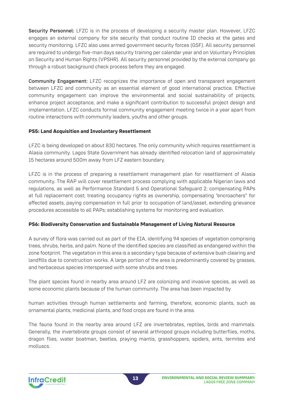Security Personnel: LFZC is in the process of developing a security master plan. However, LFZC engages an external company for site security that conduct routine ID checks at the gates and security monitoring. LFZC also uses armed government security forces (GSF). All security personnel are required to undergo five-man days security training per calendar year and on Voluntary Principles on Security and Human Rights (VPSHR). All security personnel provided by the external company go through a robust background check process before they are engaged.

Community Engagement: LFZC recognizes the importance of open and transparent engagement between LFZC and community as an essential element of good international practice. Effective community engagement can improve the environmental and social sustainability of projects, enhance project acceptance, and make a significant contribution to successful project design and implementation. LFZC conducts formal community engagement meeting twice in a year apart from routine interactions with community leaders, youths and other groups.

#### **PS5: Land Acquisition and Involuntary Resettlement**

LFZC is being developed on about 830 hectares. The only community which requires resettlement is Alasia community. Lagos State Government has already identified relocation land of approximately 15 hectares around 500m away from LFZ eastern boundary.

LFZC is in the process of preparing a resettlement management plan for resettlement of Alasia community. The RAP will cover resettlement process complying with applicable Nigerian laws and regulations, as well as Performance Standard 5 and Operational Safeguard 2; compensating PAPs at full replacement cost; treating occupancy rights as ownership, compensating "encroachers" for affected assets, paying compensation in full prior to occupation of land/asset, extending grievance procedures accessible to all PAPs; establishing systems for monitoring and evaluation.

#### **PS6: Biodiversity Conservation and Sustainable Management of Living Natural Resource**

A survey of flora was carried out as part of the EIA, identifying 94 species of vegetation comprising trees, shrubs, herbs, and palm. None of the identified species are classified as endangered within the zone footprint. The vegetation in this area is a secondary type because of extensive bush clearing and landfills due to construction works. A large portion of the area is predominantly covered by grasses, and herbaceous species interspersed with some shrubs and trees.

The plant species found in nearby area around LFZ are colonizing and invasive species, as well as some economic plants because of the human community. The area has been impacted by

human activities through human settlements and farming, therefore, economic plants, such as ornamental plants, medicinal plants, and food crops are found in the area.

The fauna found in the nearby area around LFZ are invertebrates, reptiles, birds and mammals. Generally, the invertebrate groups consist of several arthropod groups including butterflies, moths, dragon flies, water boatman, beetles, praying mantis, grasshoppers, spiders, ants, termites and molluscs.

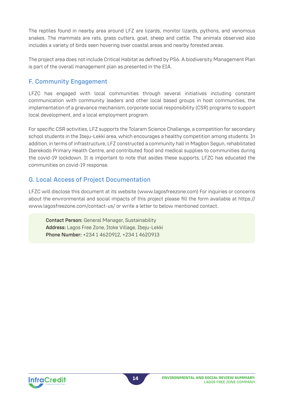The reptiles found in nearby area around LFZ are lizards, monitor lizards, pythons, and venomous snakes. The mammals are rats, grass cutters, goat, sheep and cattle. The animals observed also includes a variety of birds seen hovering over coastal areas and nearby forested areas.

The project area does not include Critical Habitat as defined by PS6. A biodiversity Management Plan is part of the overall management plan as presented in the EIA.

## F. Community Engagement

LFZC has engaged with local communities through several initiatives including constant communication with community leaders and other local based groups in host communities, the implementation of a grievance mechanism, corporate social responsibility (CSR) programs to support local development, and a local employment program.

For specific CSR activities, LFZ supports the Tolaram Science Challenge, a competition for secondary school students in the Ibeju-Lekki area, which encourages a healthy competition among students. In addition, in terms of infrastructure, LFZ constructed a community hall in Magbon Segun, rehabilitated Iberekodo Primary Health Centre, and contributed food and medical supplies to communities during the covid-19 lockdown. It is important to note that asides these supports, LFZC has educated the communities on covid-19 response.

## G. Local Access of Project Documentation

LFZC will disclose this document at its website (www.lagosfreezone.com) For inquiries or concerns about the environmental and social impacts of this project please fill the form available at https:// www.lagosfreezone.com/contact-us/ or write a letter to below mentioned contact.

Contact Person: General Manager, Sustainability Address: Lagos Free Zone, Itoke Village, Ibeju-Lekki Phone Number: +234 1 4620912, +234 1 4620913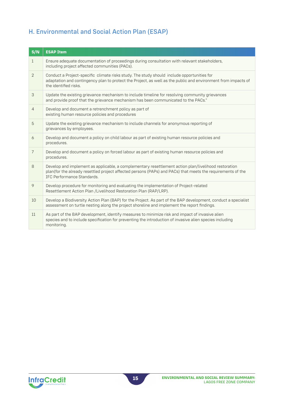## H. Environmental and Social Action Plan (ESAP)

| S/N            | <b>ESAP Item</b>                                                                                                                                                                                                                                  |
|----------------|---------------------------------------------------------------------------------------------------------------------------------------------------------------------------------------------------------------------------------------------------|
| $\mathbf{1}$   | Ensure adequate documentation of proceedings during consultation with relevant stakeholders,<br>including project affected communities (PACs).                                                                                                    |
| 2              | Conduct a Project-specific climate risks study. The study should include opportunities for<br>adaptation and contingency plan to protect the Project, as well as the public and environment from impacts of<br>the identified risks.              |
| 3              | Update the existing grievance mechanism to include timeline for resolving community grievances<br>and provide proof that the grievance mechanism has been communicated to the PACs."                                                              |
| $\overline{4}$ | Develop and document a retrenchment policy as part of<br>existing human resource policies and procedures                                                                                                                                          |
| 5              | Update the existing grievance mechanism to include channels for anonymous reporting of<br>grievances by employees.                                                                                                                                |
| 6              | Develop and document a policy on child labour as part of existing human resource policies and<br>procedures.                                                                                                                                      |
| $\overline{7}$ | Develop and document a policy on forced labour as part of existing human resource policies and<br>procedures.                                                                                                                                     |
| 8              | Develop and implement as applicable, a complementary resettlement action plan/livelihood restoration<br>plan(for the already resettled project affected persons (PAPs) and PACs) that meets the requirements of the<br>IFC Performance Standards. |
| 9              | Develop procedure for monitoring and evaluating the implementation of Project-related<br>Resettlement Action Plan / Livelihood Restoration Plan (RAP/LRP).                                                                                        |
| 10             | Develop a Biodiversity Action Plan (BAP) for the Project. As part of the BAP development, conduct a specialist<br>assessment on turtle nesting along the project shoreline and implement the report findings.                                     |
| 11             | As part of the BAP development, identify measures to minimize risk and impact of invasive alien<br>species and to include specification for preventing the introduction of invasive alien species including<br>monitoring.                        |